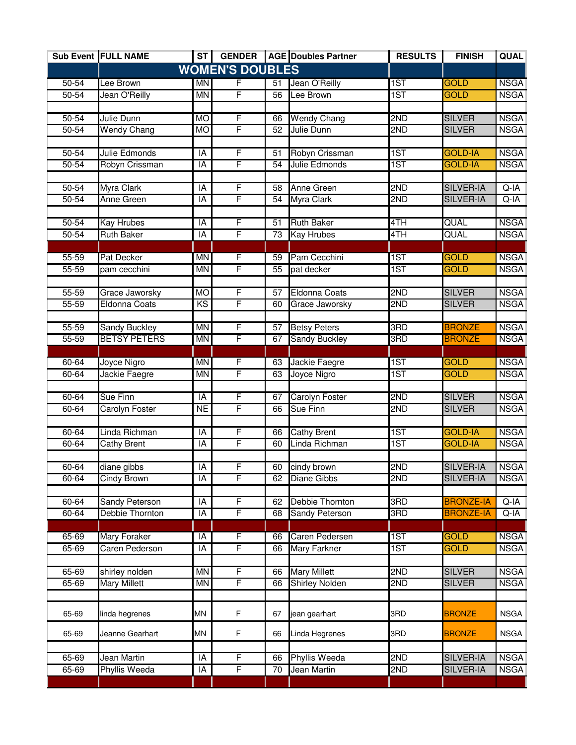|           | Sub Event FULL NAME   | ST        | <b>GENDER</b>          |                 | <b>AGE Doubles Partner</b> | <b>RESULTS</b> | <b>FINISH</b>    | <b>QUAL</b> |
|-----------|-----------------------|-----------|------------------------|-----------------|----------------------------|----------------|------------------|-------------|
|           |                       |           | <b>WOMEN'S DOUBLES</b> |                 |                            |                |                  |             |
| 50-54     | Lee Brown             | MN        | F                      | 51              | Jean O'Reilly              | 1ST            | <b>GOLD</b>      | <b>NSGA</b> |
| 50-54     | Jean O'Reilly         | <b>MN</b> | F                      | 56              | Lee Brown                  | 1ST            | <b>GOLD</b>      | <b>NSGA</b> |
|           |                       |           |                        |                 |                            |                |                  |             |
| $50 - 54$ | Julie Dunn            | <b>MO</b> | F                      | 66              | <b>Wendy Chang</b>         | 2ND            | <b>SILVER</b>    | <b>NSGA</b> |
| 50-54     | <b>Wendy Chang</b>    | <b>MO</b> | F                      | 52              | Julie Dunn                 | 2ND            | <b>SILVER</b>    | <b>NSGA</b> |
|           |                       |           |                        |                 |                            |                |                  |             |
| $50 - 54$ | Julie Edmonds         | IA        | F                      | 51              | Robyn Crissman             | 1ST            | <b>GOLD-IA</b>   | <b>NSGA</b> |
| $50 - 54$ | Robyn Crissman        | IA        | F                      | 54              | Julie Edmonds              | 1ST            | <b>GOLD-IA</b>   | <b>NSGA</b> |
|           |                       |           |                        |                 |                            |                |                  |             |
| $50 - 54$ | <b>Myra Clark</b>     | ĪĀ        | F                      | 58              | <b>Anne Green</b>          | 2ND            | <b>SILVER-IA</b> | $Q-IA$      |
| $50 - 54$ | Anne Green            | IA        | F                      | 54              | Myra Clark                 | 2ND            | <b>SILVER-IA</b> | $Q-IA$      |
| $50 - 54$ | <b>Kay Hrubes</b>     | IA        | F                      | $\overline{51}$ | <b>Ruth Baker</b>          | 4TH            | QUAL             | <b>NSGA</b> |
| $50 - 54$ | <b>Ruth Baker</b>     | IA        | F                      | 73              | <b>Kay Hrubes</b>          | 4TH            | QUAL             | <b>NSGA</b> |
|           |                       |           |                        |                 |                            |                |                  |             |
| $55 - 59$ | Pat Decker            | <b>MN</b> | F                      | 59              | Pam Cecchini               | 1ST            | <b>GOLD</b>      | <b>NSGA</b> |
| $55 - 59$ | pam cecchini          | <b>MN</b> | F                      | 55              | pat decker                 | 1ST            | <b>GOLD</b>      | <b>NSGA</b> |
|           |                       |           |                        |                 |                            |                |                  |             |
| $55 - 59$ | Grace Jaworsky        | <b>MO</b> | F                      | $\overline{57}$ | <b>Eldonna Coats</b>       | 2ND            | <b>SILVER</b>    | <b>NSGA</b> |
| $55 - 59$ | <b>Eldonna Coats</b>  | KS        | F                      | 60              | Grace Jaworsky             | 2ND            | <b>SILVER</b>    | <b>NSGA</b> |
|           |                       |           |                        |                 |                            |                |                  |             |
| $55 - 59$ | <b>Sandy Buckley</b>  | <b>MN</b> | F                      | $\overline{57}$ | <b>Betsy Peters</b>        | 3RD            | <b>BRONZE</b>    | <b>NSGA</b> |
| $55 - 59$ | <b>BETSY PETERS</b>   | <b>MN</b> | F                      | 67              | <b>Sandy Buckley</b>       | 3RD            | <b>BRONZE</b>    | <b>NSGA</b> |
|           |                       |           |                        |                 |                            |                |                  |             |
| $60 - 64$ | Joyce Nigro           | <b>MN</b> | F                      | 63              | Jackie Faegre              | 1ST            | <b>GOLD</b>      | <b>NSGA</b> |
| 60-64     | Jackie Faegre         | <b>MN</b> | F                      | 63              | Joyce Nigro                | 1ST            | <b>GOLD</b>      | <b>NSGA</b> |
|           |                       |           |                        |                 |                            |                |                  |             |
| 60-64     | <b>Sue Finn</b>       | IA        | F                      | 67              | <b>Carolyn Foster</b>      | 2ND            | <b>SILVER</b>    | <b>NSGA</b> |
| $60 - 64$ | Carolyn Foster        | <b>NE</b> | F                      | 66              | Sue Finn                   | 2ND            | <b>SILVER</b>    | <b>NSGA</b> |
|           |                       |           |                        |                 |                            |                |                  |             |
| $60 - 64$ | Linda Richman         | IA        | F                      | 66              | <b>Cathy Brent</b>         | 1ST            | <b>GOLD-IA</b>   | <b>NSGA</b> |
| 60-64     | <b>Cathy Brent</b>    | IA        | F                      | 60              | Linda Richman              | 1ST            | <b>GOLD-IA</b>   | <b>NSGA</b> |
|           |                       |           |                        |                 |                            |                |                  |             |
| $60 - 64$ | diane gibbs           | IA        | F<br>F                 | 60              | cindy brown                | 2ND            | <b>SILVER-IA</b> | <b>NSGA</b> |
| 60-64     | Cindy Brown           | IA        |                        | 62              | <b>Diane Gibbs</b>         | 2ND            | <b>SILVER-IA</b> | <b>NSGA</b> |
| 60-64     | <b>Sandy Peterson</b> | IA        | F                      | 62              | Debbie Thornton            | 3RD            | <b>BRONZE-IA</b> | $Q-IA$      |
| $60 - 64$ | Debbie Thornton       | IA        | F                      | 68              | Sandy Peterson             | 3RD            | <b>BRONZE-IA</b> | $Q-IA$      |
|           |                       |           |                        |                 |                            |                |                  |             |
| 65-69     | <b>Mary Foraker</b>   | IA        | F                      | 66              | Caren Pedersen             | 1ST            | <b>GOLD</b>      | <b>NSGA</b> |
| $65 - 69$ | Caren Pederson        | ĪĀ        | F                      | 66              | <b>Mary Farkner</b>        | 1ST            | <b>GOLD</b>      | <b>NSGA</b> |
|           |                       |           |                        |                 |                            |                |                  |             |
| 65-69     | shirley nolden        | <b>MN</b> | F                      | 66              | <b>Mary Millett</b>        | 2ND            | <b>SILVER</b>    | <b>NSGA</b> |
| 65-69     | <b>Mary Millett</b>   | <b>MN</b> | F                      | 66              | <b>Shirley Nolden</b>      | 2ND            | <b>SILVER</b>    | <b>NSGA</b> |
|           |                       |           |                        |                 |                            |                |                  |             |
|           |                       |           |                        |                 |                            |                |                  |             |
| 65-69     | linda hegrenes        | MN        | F                      | 67              | jean gearhart              | 3RD            | <b>BRONZE</b>    | <b>NSGA</b> |
| 65-69     | Jeanne Gearhart       | <b>MN</b> | F                      | 66              | Linda Hegrenes             | 3RD            | <b>BRONZE</b>    | <b>NSGA</b> |
|           |                       |           |                        |                 |                            |                |                  |             |
| 65-69     | Jean Martin           | IA        | F                      | 66              | <b>Phyllis Weeda</b>       | 2ND            | <b>SILVER-IA</b> | <b>NSGA</b> |
| 65-69     | <b>Phyllis Weeda</b>  | IA        | F                      | 70              | Jean Martin                | 2ND            | <b>SILVER-IA</b> | <b>NSGA</b> |
|           |                       |           |                        |                 |                            |                |                  |             |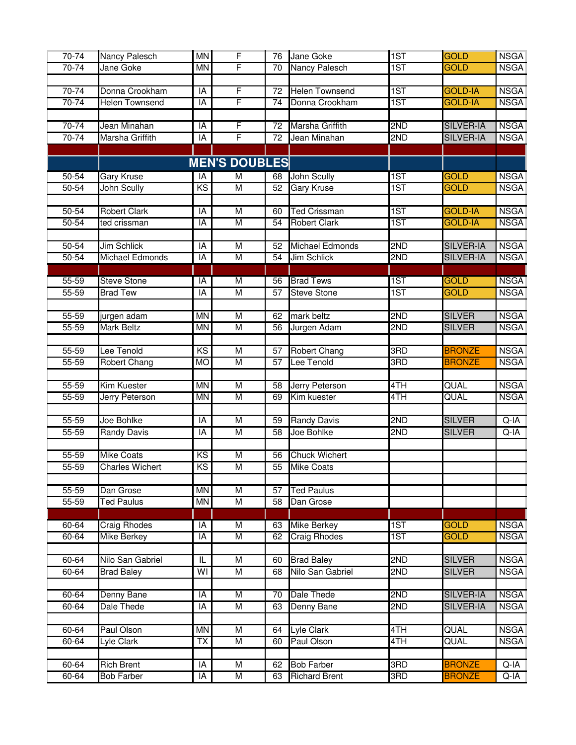| 70-74                  | Nancy Palesch          | <b>MN</b>                           | $\overline{F}$                            | 76              | Jane Goke                         | 1ST        | <b>GOLD</b>                    | <b>NSGA</b>                |
|------------------------|------------------------|-------------------------------------|-------------------------------------------|-----------------|-----------------------------------|------------|--------------------------------|----------------------------|
| 70-74                  | Jane Goke              | MN                                  | F                                         | 70              | Nancy Palesch                     | 1ST        | <b>GOLD</b>                    | <b>NSGA</b>                |
|                        |                        |                                     |                                           |                 |                                   |            |                                |                            |
| $70 - 74$              | Donna Crookham         | IA                                  | F                                         | 72              | <b>Helen Townsend</b>             | 1ST        | <b>GOLD-IA</b>                 | <b>NSGA</b>                |
| $70 - 74$              | <b>Helen Townsend</b>  | IA                                  | F                                         | 74              | Donna Crookham                    | 1ST        | <b>GOLD-IA</b>                 | <b>NSGA</b>                |
|                        |                        |                                     |                                           |                 |                                   |            |                                |                            |
| 70-74                  | Jean Minahan           | IA                                  | F                                         | 72              | Marsha Griffith                   | 2ND        | <b>SILVER-IA</b>               | <b>NSGA</b>                |
| $70 - 74$              | Marsha Griffith        | $\overline{A}$                      | F                                         | $\overline{72}$ | Jean Minahan                      | 2ND        | <b>SILVER-IA</b>               | <b>NSGA</b>                |
|                        |                        |                                     |                                           |                 |                                   |            |                                |                            |
|                        |                        |                                     | <b>MEN'S DOUBLES</b>                      |                 |                                   |            |                                |                            |
| $50 - 54$              | <b>Gary Kruse</b>      | IA                                  | M                                         | 68              | <b>John Scully</b>                | 1ST        | <b>GOLD</b>                    | <b>NSGA</b>                |
| $50 - 54$              | <b>John Scully</b>     | $\overline{\text{KS}}$              | M                                         | 52              | <b>Gary Kruse</b>                 | 1ST        | <b>GOLD</b>                    | <b>NSGA</b>                |
|                        |                        |                                     |                                           |                 |                                   |            |                                |                            |
| $50 - 54$              | <b>Robert Clark</b>    | IA                                  | $\overline{M}$                            | 60              | <b>Ted Crissman</b>               | 1ST        | <b>GOLD-IA</b>                 | <b>NSGA</b>                |
| $50 - 54$              | ted crissman           | IA                                  | M                                         | 54              | <b>Robert Clark</b>               | 1ST        | <b>GOLD-IA</b>                 | <b>NSGA</b>                |
|                        |                        |                                     |                                           |                 |                                   |            |                                |                            |
| $50 - 54$              | <b>Jim Schlick</b>     | IA                                  | $\overline{\mathsf{M}}$                   | 52              | <b>Michael Edmonds</b>            | 2ND        | <b>SILVER-IA</b>               | <b>NSGA</b>                |
| $50 - 54$              | Michael Edmonds        | IA                                  | M                                         | 54              | <b>Jim Schlick</b>                | 2ND        | <b>SILVER-IA</b>               | <b>NSGA</b>                |
|                        |                        |                                     |                                           |                 |                                   |            |                                |                            |
| $55 - 59$              | <b>Steve Stone</b>     | IA                                  | $\overline{\mathsf{M}}$                   | 56              | <b>Brad Tews</b>                  | 1ST        | <b>GOLD</b>                    | <b>NSGA</b>                |
| $55 - 59$              | <b>Brad Tew</b>        | IA                                  | M                                         | 57              | <b>Steve Stone</b>                | 1ST        | <b>GOLD</b>                    | <b>NSGA</b>                |
|                        |                        |                                     |                                           |                 |                                   |            |                                |                            |
| $55 - 59$              | jurgen adam            | <b>MN</b>                           | $\overline{\mathsf{M}}$                   | 62              | mark beltz                        | 2ND        | <b>SILVER</b>                  | <b>NSGA</b>                |
| $55 - 59$              | <b>Mark Beltz</b>      | <b>MN</b>                           | $\overline{\mathsf{M}}$                   | 56              | Jurgen Adam                       | 2ND        | <b>SILVER</b>                  | <b>NSGA</b>                |
|                        |                        |                                     |                                           |                 |                                   |            |                                |                            |
| $55 - 59$<br>$55 - 59$ | Lee Tenold             | $\overline{\text{KS}}$<br><b>MO</b> | $\overline{M}$<br>$\overline{\mathsf{M}}$ | 57<br>57        | <b>Robert Chang</b><br>Lee Tenold | 3RD<br>3RD | <b>BRONZE</b><br><b>BRONZE</b> | <b>NSGA</b><br><b>NSGA</b> |
|                        | Robert Chang           |                                     |                                           |                 |                                   |            |                                |                            |
| $55 - 59$              | Kim Kuester            | <b>MN</b>                           | M                                         | 58              | Jerry Peterson                    | 4TH        | QUAL                           | <b>NSGA</b>                |
| $55 - 59$              | Jerry Peterson         | <b>MN</b>                           | $\overline{M}$                            | 69              | Kim kuester                       | 4TH        | QUAL                           | <b>NSGA</b>                |
|                        |                        |                                     |                                           |                 |                                   |            |                                |                            |
| $55 - 59$              | Joe Bohlke             | IA                                  | M                                         | 59              | <b>Randy Davis</b>                | 2ND        | <b>SILVER</b>                  | $Q-IA$                     |
| 55-59                  | <b>Randy Davis</b>     | IA                                  | M                                         | 58              | Joe Bohlke                        | 2ND        | <b>SILVER</b>                  | Q-IA                       |
|                        |                        |                                     |                                           |                 |                                   |            |                                |                            |
| $55 - 59$              | <b>Mike Coats</b>      | KS                                  | M                                         | 56              | <b>Chuck Wichert</b>              |            |                                |                            |
| $55 - 59$              | <b>Charles Wichert</b> | KS                                  | M                                         | $\overline{55}$ | <b>Mike Coats</b>                 |            |                                |                            |
|                        |                        |                                     |                                           |                 |                                   |            |                                |                            |
| $55 - 59$              | Dan Grose              | <b>MN</b>                           | $\overline{\mathsf{M}}$                   | 57              | <b>Ted Paulus</b>                 |            |                                |                            |
| $55 - 59$              | <b>Ted Paulus</b>      | <b>MN</b>                           | M                                         | $\overline{58}$ | Dan Grose                         |            |                                |                            |
|                        |                        |                                     |                                           |                 |                                   |            |                                |                            |
| $60 - 64$              | <b>Craig Rhodes</b>    | IA                                  | $\overline{\mathsf{M}}$                   | 63              | <b>Mike Berkey</b>                | 1ST        | <b>GOLD</b>                    | <b>NSGA</b>                |
| 60-64                  | <b>Mike Berkey</b>     | IA                                  | $\overline{\mathsf{M}}$                   | 62              | <b>Craig Rhodes</b>               | 1ST        | <b>GOLD</b>                    | <b>NSGA</b>                |
|                        |                        |                                     |                                           |                 |                                   |            |                                |                            |
| $60 - 64$              | Nilo San Gabriel       | IL                                  | $\overline{\mathsf{M}}$                   | 60              | <b>Brad Baley</b>                 | 2ND        | <b>SILVER</b>                  | <b>NSGA</b>                |
| 60-64                  | <b>Brad Baley</b>      | WI                                  | $\overline{\mathsf{M}}$                   | 68              | Nilo San Gabriel                  | 2ND        | <b>SILVER</b>                  | <b>NSGA</b>                |
|                        |                        |                                     |                                           |                 |                                   |            |                                |                            |
| $60 - 64$              | Denny Bane             | IA                                  | M                                         | $\overline{70}$ | Dale Thede                        | 2ND        | <b>SILVER-IA</b>               | <b>NSGA</b>                |
| $60 - 64$              | Dale Thede             | IA                                  | M                                         | 63              | <b>Denny Bane</b>                 | 2ND        | <b>SILVER-IA</b>               | <b>NSGA</b>                |
|                        |                        |                                     |                                           |                 |                                   |            |                                |                            |
| $60 - 64$              | Paul Olson             | <b>MN</b>                           | M                                         | 64              | <b>Lyle Clark</b>                 | 4TH        | QUAL                           | <b>NSGA</b>                |
| $60 - 64$              | Lyle Clark             | TX                                  | M                                         | 60              | Paul Olson                        | 4TH        | QUAL                           | <b>NSGA</b>                |
|                        |                        |                                     |                                           |                 |                                   |            |                                |                            |
| 60-64                  | <b>Rich Brent</b>      | IA                                  | М                                         | 62              | <b>Bob Farber</b>                 | 3RD        | <b>BRONZE</b>                  | $Q-IA$                     |
| 60-64                  | <b>Bob Farber</b>      | IA                                  | М                                         | 63              | <b>Richard Brent</b>              | 3RD        | <b>BRONZE</b>                  | Q-IA                       |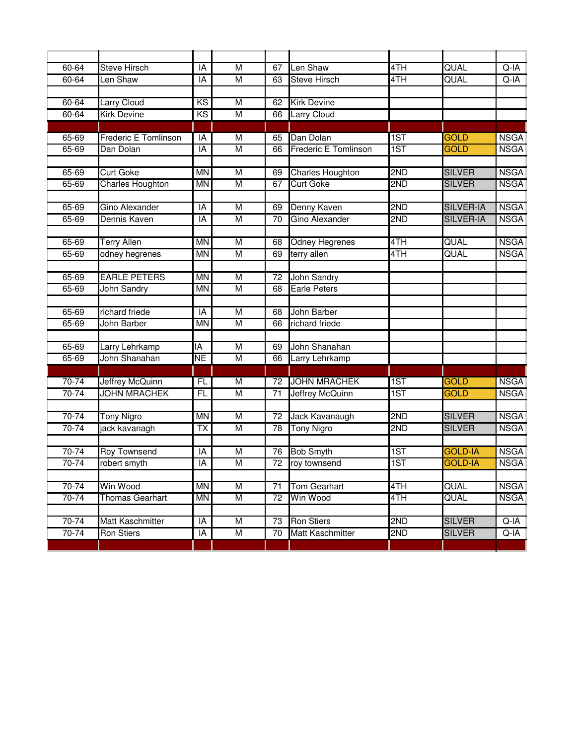| 60-64              | <b>Steve Hirsch</b>                | IA                     | M                       | 67       | Len Shaw                    | 4TH        | QUAL                           | Q-IA                       |
|--------------------|------------------------------------|------------------------|-------------------------|----------|-----------------------------|------------|--------------------------------|----------------------------|
| $60 - 64$          | Len Shaw                           | IA                     | M                       | 63       | <b>Steve Hirsch</b>         | 4TH        | QUAL                           | $Q-IA$                     |
| 60-64              | Larry Cloud                        | $\overline{\text{KS}}$ | $\overline{M}$          | 62       | <b>Kirk Devine</b>          |            |                                |                            |
| $60 - 64$          | <b>Kirk Devine</b>                 | KS                     | $\overline{M}$          | 66       | <b>Larry Cloud</b>          |            |                                |                            |
|                    |                                    |                        |                         |          |                             |            |                                |                            |
| 65-69              | <b>Frederic E Tomlinson</b>        | IA                     | M                       | 65       | Dan Dolan                   | 1ST        | <b>GOLD</b>                    | <b>NSGA</b>                |
| 65-69              | Dan Dolan                          | IA                     | $\overline{M}$          | 66       | <b>Frederic E Tomlinson</b> | 1ST        | <b>GOLD</b>                    | <b>NSGA</b>                |
|                    |                                    |                        |                         |          |                             |            |                                |                            |
| 65-69              | <b>Curt Goke</b>                   | <b>MN</b>              | M                       | 69       | <b>Charles Houghton</b>     | 2ND        | <b>SILVER</b>                  | <b>NSGA</b>                |
| 65-69              | <b>Charles Houghton</b>            | <b>MN</b>              | $\overline{M}$          | 67       | <b>Curt Goke</b>            | 2ND        | <b>SILVER</b>                  | <b>NSGA</b>                |
|                    |                                    |                        |                         |          |                             |            |                                |                            |
| $65 - 69$          | <b>Gino Alexander</b>              | IA                     | $\overline{\mathsf{M}}$ | 69       | Denny Kaven                 | 2ND        | <b>SILVER-IA</b>               | <b>NSGA</b>                |
| 65-69              | Dennis Kaven                       | IA                     | M                       | 70       | Gino Alexander              | 2ND        | <b>SILVER-IA</b>               | <b>NSGA</b>                |
|                    |                                    |                        |                         |          |                             |            |                                |                            |
| 65-69              | <b>Terry Allen</b>                 | <b>MN</b>              | $\overline{\mathsf{M}}$ | 68       | <b>Odney Hegrenes</b>       | 4TH        | QUAL                           | <b>NSGA</b>                |
| $65 - 69$          | odney hegrenes                     | <b>MN</b>              | M                       | 69       | terry allen                 | 4TH        | QUAL                           | <b>NSGA</b>                |
|                    |                                    |                        |                         |          |                             |            |                                |                            |
| $65 - 69$          | <b>EARLE PETERS</b>                | <b>MN</b>              | M                       | 72       | John Sandry                 |            |                                |                            |
| 65-69              | <b>John Sandry</b>                 | <b>MN</b>              | M                       | 68       | <b>Earle Peters</b>         |            |                                |                            |
|                    |                                    |                        |                         |          |                             |            |                                |                            |
| $65 - 69$          | richard friede                     | IA                     | $\overline{\mathsf{M}}$ | 68       | John Barber                 |            |                                |                            |
| $65 - 69$          | John Barber                        | <b>MN</b>              | M                       | 66       | richard friede              |            |                                |                            |
|                    |                                    |                        |                         |          |                             |            |                                |                            |
| $65 - 69$          | Larry Lehrkamp                     | ĪĀ                     | $\overline{\mathsf{M}}$ | 69       | John Shanahan               |            |                                |                            |
| 65-69              | John Shanahan                      | NΕ                     | M                       | 66       | Larry Lehrkamp              |            |                                |                            |
|                    |                                    |                        |                         |          |                             |            |                                |                            |
| $70 - 74$          | Jeffrey McQuinn                    | FL                     | $\overline{\mathsf{M}}$ | 72       | <b>JOHN MRACHEK</b>         | 1ST        | <b>GOLD</b>                    | <b>NSGA</b>                |
| $70 - 74$          | <b>JOHN MRACHEK</b>                | F                      | $\overline{M}$          | 71       | <b>Jeffrey McQuinn</b>      | 1ST        | GOLD                           | <b>NSGA</b>                |
|                    |                                    |                        |                         |          |                             |            |                                |                            |
| $70 - 74$<br>70-74 | <b>Tony Nigro</b><br>jack kavanagh | <b>MN</b><br><b>TX</b> | M<br>M                  | 72<br>78 | Jack Kavanaugh              | 2ND<br>2ND | <b>SILVER</b><br><b>SILVER</b> | <b>NSGA</b><br><b>NSGA</b> |
|                    |                                    |                        |                         |          | <b>Tony Nigro</b>           |            |                                |                            |
| 70-74              | Roy Townsend                       | IA                     | M                       | 76       | <b>Bob Smyth</b>            | 1ST        | <b>GOLD-IA</b>                 | <b>NSGA</b>                |
| 70-74              | robert smyth                       | IA                     | M                       | 72       | roy townsend                | 1ST        | <b>GOLD-IA</b>                 | <b>NSGA</b>                |
|                    |                                    |                        |                         |          |                             |            |                                |                            |
| $70 - 74$          | Win Wood                           | <b>MN</b>              | M                       | 71       | Tom Gearhart                | 4TH        | QUAL                           | <b>NSGA</b>                |
| $70 - 74$          | <b>Thomas Gearhart</b>             | <b>MN</b>              | M                       | 72       | Win Wood                    | 4TH        | QUAL                           | <b>NSGA</b>                |
|                    |                                    |                        |                         |          |                             |            |                                |                            |
| $70 - 74$          | Matt Kaschmitter                   | $\overline{A}$         | M                       | 73       | <b>Ron Stiers</b>           | 2ND        | <b>SILVER</b>                  | $Q-IA$                     |
| $70 - 74$          | <b>Ron Stiers</b>                  | $\overline{A}$         | M                       | 70       | Matt Kaschmitter            | 2ND        | <b>SILVER</b>                  | $Q-IA$                     |
|                    |                                    |                        |                         |          |                             |            |                                |                            |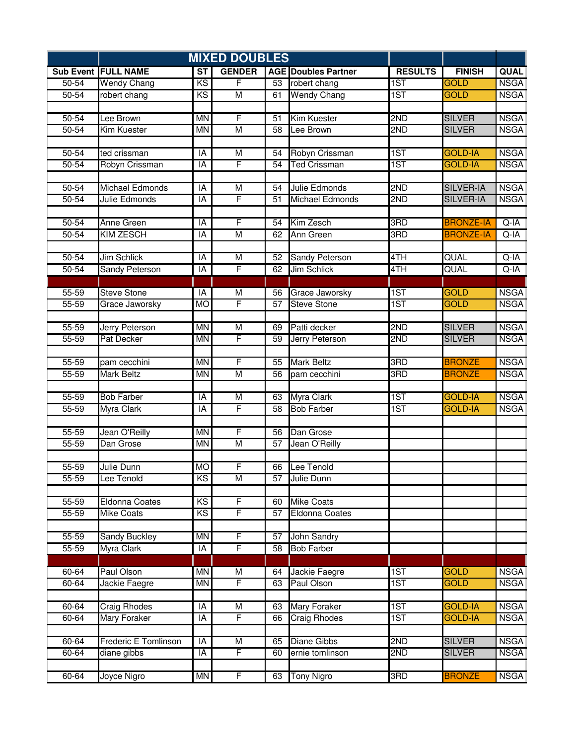|           | <b>MIXED DOUBLES</b>        |           |                |                 |                            |                |                  |             |
|-----------|-----------------------------|-----------|----------------|-----------------|----------------------------|----------------|------------------|-------------|
|           | <b>Sub Event FULL NAME</b>  | <b>ST</b> | <b>GENDER</b>  |                 | <b>AGE Doubles Partner</b> | <b>RESULTS</b> | <b>FINISH</b>    | QUAL        |
| $50 - 54$ | <b>Wendy Chang</b>          | KS        | F              | 53              | robert chang               | 1ST            | <b>GOLD</b>      | <b>NSGA</b> |
| 50-54     | robert chang                | KS        | $\overline{M}$ | 61              | <b>Wendy Chang</b>         | 1ST            | <b>GOLD</b>      | <b>NSGA</b> |
|           |                             |           |                |                 |                            |                |                  |             |
| 50-54     | Lee Brown                   | <b>MN</b> | $\overline{F}$ | 51              | <b>Kim Kuester</b>         | 2ND            | <b>SILVER</b>    | <b>NSGA</b> |
| $50 - 54$ | Kim Kuester                 | <b>MN</b> | $\overline{M}$ | $\overline{58}$ | Lee Brown                  | 2ND            | <b>SILVER</b>    | <b>NSGA</b> |
|           |                             |           |                |                 |                            |                |                  |             |
| $50 - 54$ | ted crissman                | IA        | M              | 54              | Robyn Crissman             | 1ST            | <b>GOLD-IA</b>   | <b>NSGA</b> |
| $50 - 54$ | Robyn Crissman              | IA        | F              | 54              | <b>Ted Crissman</b>        | 1ST            | <b>GOLD-IA</b>   | <b>NSGA</b> |
|           |                             |           |                |                 |                            |                |                  |             |
| $50 - 54$ | <b>Michael Edmonds</b>      | IA        | $\overline{M}$ | 54              | Julie Edmonds              | 2ND            | <b>SILVER-IA</b> | <b>NSGA</b> |
| $50 - 54$ | Julie Edmonds               | ĪĀ        | F              | 51              | <b>Michael Edmonds</b>     | 2ND            | <b>SILVER-IA</b> | <b>NSGA</b> |
| $50 - 54$ | <b>Anne Green</b>           | IA        | F              | 54              | Kim Zesch                  | 3RD            | <b>BRONZE-IA</b> | $Q-IA$      |
| $50 - 54$ | <b>KIM ZESCH</b>            | IA        | $\overline{M}$ | 62              | Ann Green                  | 3RD            | <b>BRONZE-IA</b> | $Q-IA$      |
|           |                             |           |                |                 |                            |                |                  |             |
| $50 - 54$ | <b>Jim Schlick</b>          | IA        | $\overline{M}$ | $\overline{52}$ | <b>Sandy Peterson</b>      | 4TH            | QUAL             | $Q-IA$      |
| $50 - 54$ | <b>Sandy Peterson</b>       | ĪĀ        | F              | 62              | <b>Jim Schlick</b>         | 4TH            | QUAL             | $Q-IA$      |
|           |                             |           |                |                 |                            |                |                  |             |
| $55 - 59$ | <b>Steve Stone</b>          | IA        | $\overline{M}$ | 56              | Grace Jaworsky             | 1ST            | <b>GOLD</b>      | <b>NSGA</b> |
| $55 - 59$ | Grace Jaworsky              | <b>MO</b> | F              | 57              | <b>Steve Stone</b>         | 1ST            | <b>GOLD</b>      | <b>NSGA</b> |
|           |                             |           |                |                 |                            |                |                  |             |
| $55 - 59$ | <b>Jerry Peterson</b>       | <b>MN</b> | $\overline{M}$ | 69              | Patti decker               | 2ND            | <b>SILVER</b>    | <b>NSGA</b> |
| $55 - 59$ | <b>Pat Decker</b>           | <b>MN</b> | F              | 59              | Jerry Peterson             | 2ND            | <b>SILVER</b>    | <b>NSGA</b> |
|           |                             |           |                |                 |                            |                |                  |             |
| $55 - 59$ | pam cecchini                | <b>MN</b> | F              | 55              | <b>Mark Beltz</b>          | 3RD            | <b>BRONZE</b>    | <b>NSGA</b> |
| $55 - 59$ | <b>Mark Beltz</b>           | <b>MN</b> | $\overline{M}$ | 56              | pam cecchini               | 3RD            | <b>BRONZE</b>    | <b>NSGA</b> |
|           |                             |           |                |                 |                            |                |                  |             |
| 55-59     | <b>Bob Farber</b>           | IA        | M              | 63              | <b>Myra Clark</b>          | 1ST            | <b>GOLD-IA</b>   | <b>NSGA</b> |
| $55 - 59$ | Myra Clark                  | IA        | F              | 58              | <b>Bob Farber</b>          | 1ST            | <b>GOLD-IA</b>   | <b>NSGA</b> |
|           |                             |           |                |                 |                            |                |                  |             |
| $55 - 59$ | Jean O'Reilly               | <b>MN</b> | F              | 56              | Dan Grose                  |                |                  |             |
| 55-59     | Dan Grose                   | <b>MN</b> | M              | 57              | Jean O'Reilly              |                |                  |             |
| $55 - 59$ | Julie Dunn                  | MO        | F              | 66              | Lee Tenold                 |                |                  |             |
| $55 - 59$ | Lee Tenold                  | KS        | M              | 57              | Julie Dunn                 |                |                  |             |
|           |                             |           |                |                 |                            |                |                  |             |
| $55 - 59$ | <b>Eldonna Coates</b>       | KS        | F              | 60              | <b>Mike Coats</b>          |                |                  |             |
| $55 - 59$ | <b>Mike Coats</b>           | KS        | F              | $\overline{57}$ | Eldonna Coates             |                |                  |             |
|           |                             |           |                |                 |                            |                |                  |             |
| $55 - 59$ | <b>Sandy Buckley</b>        | <b>MN</b> | F              | 57              | <b>John Sandry</b>         |                |                  |             |
| $55 - 59$ | Myra Clark                  | IA        | F              | $\overline{58}$ | <b>Bob Farber</b>          |                |                  |             |
|           |                             |           |                |                 |                            |                |                  |             |
| $60 - 64$ | Paul Olson                  | MN        | $\overline{M}$ | 64              | Jackie Faegre              | 1ST            | <b>GOLD</b>      | <b>NSGA</b> |
| 60-64     | Jackie Faegre               | <b>MN</b> | F              | 63              | Paul Olson                 | 1ST            | <b>GOLD</b>      | <b>NSGA</b> |
|           |                             |           |                |                 |                            |                |                  |             |
| $60 - 64$ | <b>Craig Rhodes</b>         | IA        | M              | 63              | <b>Mary Foraker</b>        | 1ST            | <b>GOLD-IA</b>   | <b>NSGA</b> |
| $60 - 64$ | <b>Mary Foraker</b>         | IA        | F              | 66              | <b>Craig Rhodes</b>        | 1ST            | <b>GOLD-IA</b>   | <b>NSGA</b> |
|           |                             |           |                |                 |                            |                |                  |             |
| $60 - 64$ | <b>Frederic E Tomlinson</b> | IA        | $\overline{M}$ | 65              | <b>Diane Gibbs</b>         | 2ND            | <b>SILVER</b>    | <b>NSGA</b> |
| 60-64     | diane gibbs                 | IA        | F              | 60              | ernie tomlinson            | 2ND            | <b>SILVER</b>    | <b>NSGA</b> |
|           |                             |           |                |                 |                            |                |                  |             |
| 60-64     | Joyce Nigro                 | <b>MN</b> | $\overline{F}$ | 63              | <b>Tony Nigro</b>          | 3RD            | <b>BRONZE</b>    | <b>NSGA</b> |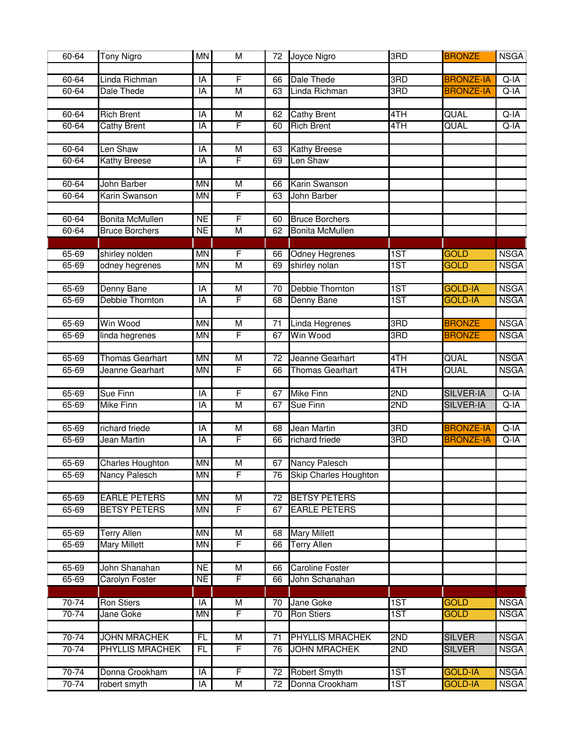| 60-64     | <b>Tony Nigro</b>       | <b>MN</b> | M                            | 72              | Joyce Nigro                  | 3RD | <b>BRONZE</b>    | <b>NSGA</b>                |
|-----------|-------------------------|-----------|------------------------------|-----------------|------------------------------|-----|------------------|----------------------------|
|           |                         |           |                              |                 |                              |     |                  |                            |
| $60 - 64$ | Linda Richman           | IA        | F                            | 66              | Dale Thede                   | 3RD | <b>BRONZE-IA</b> | $Q-IA$                     |
| $60 - 64$ | Dale Thede              | IA        | $\overline{M}$               | 63              | Linda Richman                | 3RD | <b>BRONZE-IA</b> | $Q-IA$                     |
|           |                         |           |                              |                 |                              |     |                  |                            |
| $60 - 64$ | <b>Rich Brent</b>       | IA        | M                            | 62              | <b>Cathy Brent</b>           | 4TH | QUAL             | $Q-IA$                     |
| 60-64     | <b>Cathy Brent</b>      | IA        | F                            | 60              | <b>Rich Brent</b>            | 4TH | QUAL             | $Q-IA$                     |
|           |                         |           |                              |                 |                              |     |                  |                            |
| 60-64     | Len Shaw                | IA        | M                            | 63              | <b>Kathy Breese</b>          |     |                  |                            |
| $60 - 64$ | Kathy Breese            | IA        | F                            | 69              | Len Shaw                     |     |                  |                            |
|           |                         |           |                              |                 |                              |     |                  |                            |
| 60-64     | <b>John Barber</b>      | <b>MN</b> | M                            | 66              | Karin Swanson                |     |                  |                            |
| $60 - 64$ | Karin Swanson           | <b>MN</b> | F                            | 63              | John Barber                  |     |                  |                            |
|           |                         |           |                              |                 |                              |     |                  |                            |
| $60 - 64$ | <b>Bonita McMullen</b>  | <b>NE</b> | F                            | 60              | <b>Bruce Borchers</b>        |     |                  |                            |
| 60-64     | <b>Bruce Borchers</b>   | <b>NE</b> | M                            | 62              | <b>Bonita McMullen</b>       |     |                  |                            |
|           |                         |           |                              |                 |                              |     |                  |                            |
| $65 - 69$ | shirley nolden          | MN        | F                            | 66              | <b>Odney Hegrenes</b>        | 1ST | <b>GOLD</b>      | <b>NSGA</b>                |
| $65 - 69$ | odney hegrenes          | <b>MN</b> | $\overline{M}$               | 69              | shirley nolan                | 1ST | <b>GOLD</b>      | <b>NSGA</b>                |
|           |                         |           |                              |                 |                              |     |                  |                            |
| 65-69     | Denny Bane              | IA        | $\overline{M}$               | 70              | Debbie Thornton              | 1ST | <b>GOLD-IA</b>   | <b>NSGA</b>                |
| $65 - 69$ | Debbie Thornton         | ĪĀ        | F                            | 68              | <b>Denny Bane</b>            | 1ST | <b>GOLD-IA</b>   | <b>NSGA</b>                |
|           |                         |           |                              |                 |                              |     |                  |                            |
| $65 - 69$ | Win Wood                | <b>MN</b> | $\overline{M}$               | $\overline{71}$ | Linda Hegrenes               | 3RD | <b>BRONZE</b>    | <b>NSGA</b>                |
| 65-69     | linda hegrenes          | <b>MN</b> | F                            | 67              | <b>Win Wood</b>              | 3RD | <b>BRONZE</b>    | <b>NSGA</b>                |
|           |                         |           |                              |                 |                              |     |                  |                            |
| $65 - 69$ | <b>Thomas Gearhart</b>  | <b>MN</b> | $\overline{\mathsf{M}}$<br>F | $\overline{72}$ | Jeanne Gearhart              | 4TH | QUAL<br>QUAL     | <b>NSGA</b><br><b>NSGA</b> |
| $65 - 69$ | Jeanne Gearhart         | <b>MN</b> |                              | 66              | Thomas Gearhart              | 4TH |                  |                            |
| 65-69     | Sue Finn                | IA        | F                            | 67              | <b>Mike Finn</b>             | 2ND | <b>SILVER-IA</b> | $Q-IA$                     |
| 65-69     | <b>Mike Finn</b>        | IA        | $\overline{M}$               | 67              | <b>Sue Finn</b>              | 2ND | <b>SILVER-IA</b> | Q-IA                       |
|           |                         |           |                              |                 |                              |     |                  |                            |
| 65-69     | richard friede          | IA        | M                            | 68              | <b>Jean Martin</b>           | 3RD | <b>BRONZE-IA</b> | $Q-IA$                     |
| 65-69     | Jean Martin             | IA        | F                            | 66              | richard friede               | 3RD | <b>BRONZE-IA</b> | Q-IA                       |
|           |                         |           |                              |                 |                              |     |                  |                            |
| 65-69     | <b>Charles Houghton</b> | <b>MN</b> | M                            | 67              | Nancy Palesch                |     |                  |                            |
| 65-69     | Nancy Palesch           | ΜN        | F                            | 76              | <b>Skip Charles Houghton</b> |     |                  |                            |
|           |                         |           |                              |                 |                              |     |                  |                            |
| $65 - 69$ | <b>EARLE PETERS</b>     | <b>MN</b> | $\overline{M}$               | 72              | <b>BETSY PETERS</b>          |     |                  |                            |
| $65 - 69$ | <b>BETSY PETERS</b>     | <b>MN</b> | F                            | 67              | <b>EARLE PETERS</b>          |     |                  |                            |
|           |                         |           |                              |                 |                              |     |                  |                            |
| 65-69     | <b>Terry Allen</b>      | <b>MN</b> | $\overline{M}$               | 68              | <b>Mary Millett</b>          |     |                  |                            |
| $65 - 69$ | <b>Mary Millett</b>     | <b>MN</b> | F                            | 66              | <b>Terry Allen</b>           |     |                  |                            |
|           |                         |           |                              |                 |                              |     |                  |                            |
| $65 - 69$ | John Shanahan           | <b>NE</b> | M                            | 66              | <b>Caroline Foster</b>       |     |                  |                            |
| 65-69     | <b>Carolyn Foster</b>   | <b>NE</b> | F                            | 66              | John Schanahan               |     |                  |                            |
|           |                         |           |                              |                 |                              |     |                  |                            |
| $70-74$   | <b>Ron Stiers</b>       | IA        | $\overline{M}$               | 70              | Jane Goke                    | 1ST | <b>GOLD</b>      | <b>NSGA</b>                |
| $70-74$   | Jane Goke               | <b>MN</b> | F                            | 70              | <b>Ron Stiers</b>            | 1ST | <b>GOLD</b>      | <b>NSGA</b>                |
|           |                         |           |                              |                 |                              |     |                  |                            |
| $70-74$   | <b>JOHN MRACHEK</b>     | FL        | $\overline{\mathsf{M}}$      | $\overline{71}$ | <b>PHYLLIS MRACHEK</b>       | 2ND | <b>SILVER</b>    | <b>NSGA</b>                |
| $70-74$   | <b>PHYLLIS MRACHEK</b>  | FL        | F                            | 76              | <b>JOHN MRACHEK</b>          | 2ND | <b>SILVER</b>    | <b>NSGA</b>                |
|           |                         |           |                              |                 |                              |     |                  |                            |
| 70-74     | Donna Crookham          | IA        | F                            | 72              | <b>Robert Smyth</b>          | 1ST | <b>GOLD-IA</b>   | <b>NSGA</b>                |
| 70-74     | robert smyth            | IA        | $\overline{M}$               | 72              | Donna Crookham               | 1ST | <b>GOLD-IA</b>   | <b>NSGA</b>                |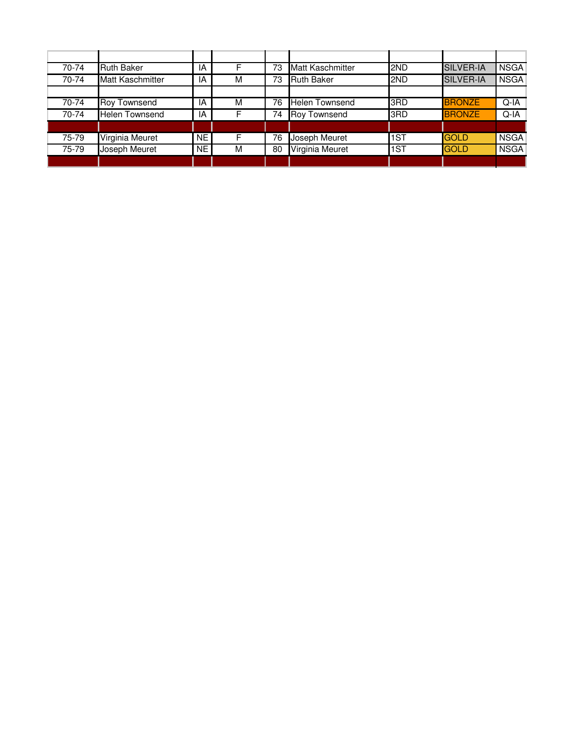| 70-74 | <b>Ruth Baker</b>       | ΙA        | F | 73 | <b>Matt Kaschmitter</b> | 2ND        | SILVER-IA        | <b>NSGA</b> |
|-------|-------------------------|-----------|---|----|-------------------------|------------|------------------|-------------|
| 70-74 | <b>Matt Kaschmitter</b> | IA        | M | 73 | <b>Ruth Baker</b>       | <b>2ND</b> | <b>SILVER-IA</b> | <b>NSGA</b> |
|       |                         |           |   |    |                         |            |                  |             |
| 70-74 | Roy Townsend            | IA        | м | 76 | Helen Townsend          | 3RD        | <b>BRONZE</b>    | $Q-IA$      |
| 70-74 | <b>Helen Townsend</b>   | IA        | F | 74 | <b>Roy Townsend</b>     | 3RD        | <b>BRONZE</b>    | $Q-IA$      |
|       |                         |           |   |    |                         |            |                  |             |
| 75-79 | Virginia Meuret         | <b>NE</b> | F | 76 | Joseph Meuret           | 1ST        | <b>GOLD</b>      | <b>NSGA</b> |
| 75-79 | Joseph Meuret           | <b>NE</b> | M | 80 | Virginia Meuret         | 1ST        | <b>GOLD</b>      | <b>NSGA</b> |
|       |                         |           |   |    |                         |            |                  |             |